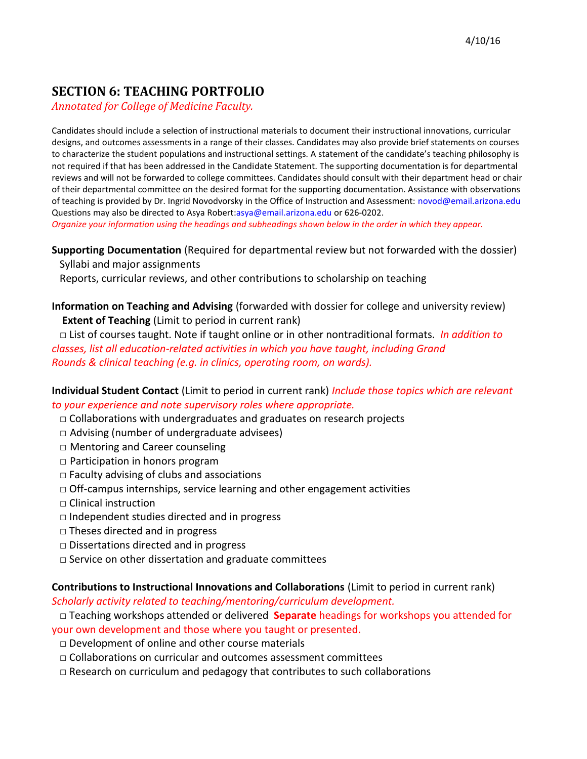## **SECTION 6: TEACHING PORTFOLIO**

*Annotated for College of Medicine Faculty.***A**

Candidates should include a selection of instructional materials to document their instructional innovations, curricular designs, and outcomes assessments in a range of their classes. Candidates may also provide brief statements on courses to characterize the student populations and instructional settings. A statement of the candidate's teaching philosophy is not required if that has been addressed in the Candidate Statement. The supporting documentation is for departmental reviews and will not be forwarded to college committees. Candidates should consult with their department head or chair of their departmental committee on the desired format for the supporting documentation. Assistance with observations of teaching is provided by Dr. Ingrid Novodvorsky in the Office of Instruction and Assessment: novod@email.arizona.edu Questions may also be directed to Asya Robert:asya@email.arizona.edu or 626-0202.

*Organize your information using the headings and subheadings shown below in the order in which they appear.*

**Supporting Documentation** (Required for departmental review but not forwarded with the dossier) Syllabi and major assignments

Reports, curricular reviews, and other contributions to scholarship on teaching

**Information on Teaching and Advising** (forwarded with dossier for college and university review) **Extent of Teaching** (Limit to period in current rank)

 □ List of courses taught. Note if taught online or in other nontraditional formats. *In addition to classes, list all education-related activities in which you have taught, including Grand Rounds & clinical teaching (e.g. in clinics, operating room, on wards).*

**Individual Student Contact** (Limit to period in current rank) *Include those topics which are relevant to your experience and note supervisory roles where appropriate.*

- $\Box$  Collaborations with undergraduates and graduates on research projects
- $\Box$  Advising (number of undergraduate advisees)
- □ Mentoring and Career counseling
- $\square$  Participation in honors program
- $\Box$  Faculty advising of clubs and associations
- $\Box$  Off-campus internships, service learning and other engagement activities
- □ Clinical instruction
- □ Independent studies directed and in progress
- $\Box$  Theses directed and in progress
- □ Dissertations directed and in progress
- $\Box$  Service on other dissertation and graduate committees

#### **Contributions to Instructional Innovations and Collaborations** (Limit to period in current rank)

*Scholarly activity related to teaching/mentoring/curriculum development.*

- □ Teaching workshops attended or delivered **Separate** headings for workshops you attended for your own development and those where you taught or presented.
	- □ Development of online and other course materials
	- $\Box$  Collaborations on curricular and outcomes assessment committees
	- $\Box$  Research on curriculum and pedagogy that contributes to such collaborations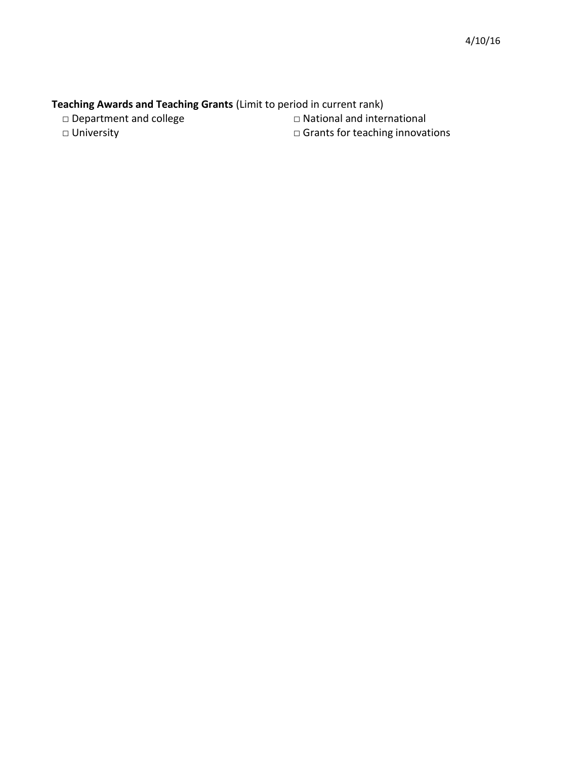# **Teaching Awards and Teaching Grants** (Limit to period in current rank)<br>  $\Box$  Department and college  $\Box$  National and international

□ Department and college

□ University □ Grants for teaching innovations